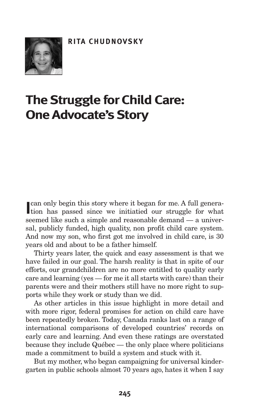

# **The Struggle for Child Care: One Advocate's Story**

can only begin this story where it began for me. A full generation has passed since we initiatied our struggle for what can only begin this story where it began for me. A full generaseemed like such a simple and reasonable demand — a universal, publicly funded, high quality, non profit child care system. And now my son, who first got me involved in child care, is 30 years old and about to be a father himself.

Thirty years later, the quick and easy assessment is that we have failed in our goal. The harsh reality is that in spite of our efforts, our grandchildren are no more entitled to quality early care and learning (yes — for me it all starts with care) than their parents were and their mothers still have no more right to supports while they work or study than we did.

As other articles in this issue highlight in more detail and with more rigor, federal promises for action on child care have been repeatedly broken. Today, Canada ranks last on a range of international comparisons of developed countries' records on early care and learning. And even these ratings are overstated because they include Québec — the only place where politicians made a commitment to build a system and stuck with it.

But my mother, who began campaigning for universal kindergarten in public schools almost 70 years ago, hates it when I say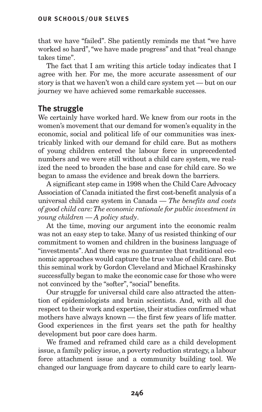that we have "failed". She patiently reminds me that "we have worked so hard","we have made progress" and that "real change takes time".

The fact that I am writing this article today indicates that I agree with her. For me, the more accurate assessment of our story is that we haven't won a child care system yet — but on our journey we have achieved some remarkable successes.

# **The struggle**

We certainly have worked hard. We knew from our roots in the women's movement that our demand for women's equality in the economic, social and political life of our communities was inextricably linked with our demand for child care. But as mothers of young children entered the labour force in unprecedented numbers and we were still without a child care system, we realized the need to broaden the base and case for child care. So we began to amass the evidence and break down the barriers.

A significant step came in 1998 when the Child Care Advocacy Association of Canada initiated the first cost-benefit analysis of a universal child care system in Canada — *The benefits and costs of good child care:The economic rationale for public investment in young children — A policy study*.

At the time, moving our argument into the economic realm was not an easy step to take. Many of us resisted thinking of our commitment to women and children in the business language of "investments". And there was no guarantee that traditional economic approaches would capture the true value of child care. But this seminal work by Gordon Cleveland and Michael Krashinsky successfully began to make the economic case for those who were not convinced by the "softer", "social" benefits.

Our struggle for universal child care also attracted the attention of epidemiologists and brain scientists. And, with all due respect to their work and expertise, their studies confirmed what mothers have always known — the first few years of life matter. Good experiences in the first years set the path for healthy development but poor care does harm.

We framed and reframed child care as a child development issue, a family policy issue, a poverty reduction strategy, a labour force attachment issue and a community building tool. We changed our language from daycare to child care to early learn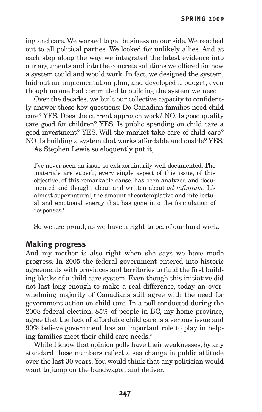ing and care. We worked to get business on our side. We reached out to all political parties. We looked for unlikely allies. And at each step along the way we integrated the latest evidence into our arguments and into the concrete solutions we offered for how a system could and would work. In fact, we designed the system, laid out an implementation plan, and developed a budget, even though no one had committed to building the system we need.

Over the decades, we built our collective capacity to confidently answer these key questions: Do Canadian families need child care? YES. Does the current approach work? NO. Is good quality care good for children? YES. Is public spending on child care a good investment? YES. Will the market take care of child care? NO. Is building a system that works affordable and doable? YES.

As Stephen Lewis so eloquently put it,

I've never seen an issue so extraordinarily well-documented. The materials are superb, every single aspect of this issue, of this objective, of this remarkable cause, has been analyzed and documented and thought about and written about *ad infinitum*. It's almost supernatural, the amount of contemplative and intellectual and emotional energy that has gone into the formulation of responses. 1

So we are proud, as we have a right to be, of our hard work.

## **Making progress**

And my mother is also right when she says we have made progress. In 2005 the federal government entered into historic agreements with provinces and territories to fund the first building blocks of a child care system. Even though this initiative did not last long enough to make a real difference, today an overwhelming majority of Canadians still agree with the need for government action on child care. In a poll conducted during the 2008 federal election, 85% of people in BC, my home province, agree that the lack of affordable child care is a serious issue and 90% believe government has an important role to play in helping families meet their child care needs. 2

While I know that opinion polls have their weaknesses, by any standard these numbers reflect a sea change in public attitude over the last 30 years. You would think that any politician would want to jump on the bandwagon and deliver.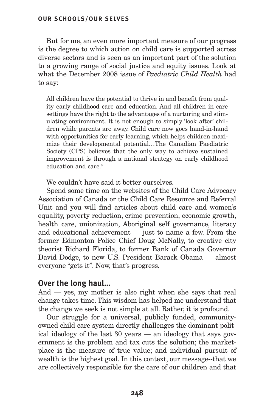#### **OUR SCHOOLS/OUR SELVES**

But for me, an even more important measure of our progress is the degree to which action on child care is supported across diverse sectors and is seen as an important part of the solution to a growing range of social justice and equity issues. Look at what the December 2008 issue of *Paediatric Child Health* had to say:

All children have the potential to thrive in and benefit from quality early childhood care and education. And all children in care settings have the right to the advantages of a nurturing and stimulating environment. It is not enough to simply 'look after' children while parents are away. Child care now goes hand-in-hand with opportunities for early learning, which helps children maximize their developmental potential…The Canadian Paediatric Society (CPS) believes that the only way to achieve sustained improvement is through a national strategy on early childhood education and care. 3

We couldn't have said it better ourselves.

Spend some time on the websites of the Child Care Advocacy Association of Canada or the Child Care Resource and Referral Unit and you will find articles about child care and women's equality, poverty reduction, crime prevention, economic growth, health care, unionization, Aboriginal self governance, literacy and educational achievement — just to name a few. From the former Edmonton Police Chief Doug McNally, to creative city theorist Richard Florida, to former Bank of Canada Governor David Dodge, to new U.S. President Barack Obama — almost everyone "gets it". Now, that's progress.

## **Over the long haul…**

And — yes, my mother is also right when she says that real change takes time. This wisdom has helped me understand that the change we seek is not simple at all. Rather, it is profound.

Our struggle for a universal, publicly funded, communityowned child care system directly challenges the dominant political ideology of the last 30 years — an ideology that says government is the problem and tax cuts the solution; the marketplace is the measure of true value; and individual pursuit of wealth is the highest goal. In this context, our message--that we are collectively responsible for the care of our children and that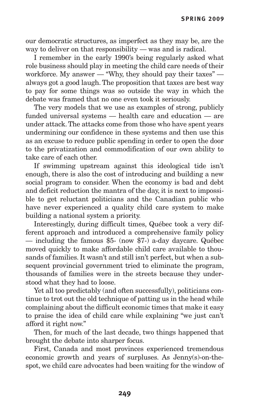our democratic structures, as imperfect as they may be, are the way to deliver on that responsibility — was and is radical.

I remember in the early 1990's being regularly asked what role business should play in meeting the child care needs of their workforce. My answer — "Why, they should pay their taxes" always got a good laugh.The proposition that taxes are best way to pay for some things was so outside the way in which the debate was framed that no one even took it seriously.

The very models that we use as examples of strong, publicly funded universal systems — health care and education — are under attack.The attacks come from those who have spent years undermining our confidence in these systems and then use this as an excuse to reduce public spending in order to open the door to the privatization and commodification of our own ability to take care of each other.

If swimming upstream against this ideological tide isn't enough, there is also the cost of introducing and building a new social program to consider. When the economy is bad and debt and deficit reduction the mantra of the day, it is next to impossible to get reluctant politicians and the Canadian public who have never experienced a quality child care system to make building a national system a priority.

Interestingly, during difficult times, Québec took a very different approach and introduced a comprehensive family policy — including the famous \$5- (now \$7-) a-day daycare. Québec moved quickly to make affordable child care available to thousands of families. It wasn't and still isn't perfect, but when a subsequent provincial government tried to eliminate the program, thousands of families were in the streets because they understood what they had to loose.

Yet all too predictably (and often successfully), politicians continue to trot out the old technique of patting us in the head while complaining about the difficult economic times that make it easy to praise the idea of child care while explaining "we just can't afford it right now."

Then, for much of the last decade, two things happened that brought the debate into sharper focus.

First, Canada and most provinces experienced tremendous economic growth and years of surpluses. As Jenny(s)-on-thespot, we child care advocates had been waiting for the window of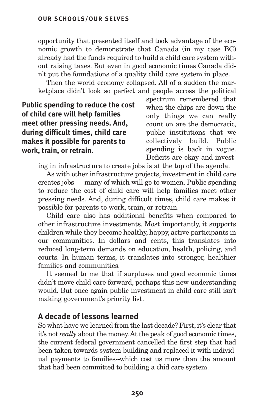opportunity that presented itself and took advantage of the economic growth to demonstrate that Canada (in my case BC) already had the funds required to build a child care system without raising taxes. But even in good economic times Canada didn't put the foundations of a quality child care system in place.

Then the world economy collapsed. All of a sudden the marketplace didn't look so perfect and people across the political

**Public spending to reduce the cost of child care will help families meet other pressing needs. And, during difficult times, child care makes it possible for parents to work, train, or retrain.**

spectrum remembered that when the chips are down the only things we can really count on are the democratic, public institutions that we collectively build. Public spending is back in vogue. Deficits are okay and invest-

ing in infrastructure to create jobs is at the top of the agenda.

As with other infrastructure projects, investment in child care creates jobs — many of which will go to women. Public spending to reduce the cost of child care will help families meet other pressing needs. And, during difficult times, child care makes it possible for parents to work, train, or retrain.

Child care also has additional benefits when compared to other infrastructure investments. Most importantly, it supports children while they become healthy, happy, active participants in our communities. In dollars and cents, this translates into reduced long-term demands on education, health, policing, and courts. In human terms, it translates into stronger, healthier families and communities.

It seemed to me that if surpluses and good economic times didn't move child care forward, perhaps this new understanding would. But once again public investment in child care still isn't making government's priority list.

## **A decade of lessons learned**

So what have we learned from the last decade? First, it's clear that it's not *really* about the money. At the peak of good economic times, the current federal government cancelled the first step that had been taken towards system-building and replaced it with individual payments to families--which cost us more than the amount that had been committed to building a chid care system.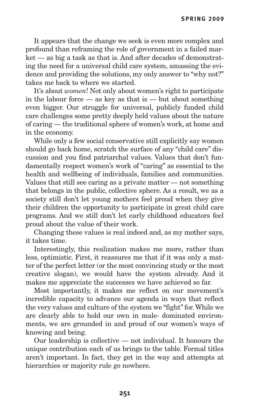It appears that the change we seek is even more complex and profound than reframing the role of government in a failed market — as big a task as that is. And after decades of demonstrating the need for a universal child care system, amassing the evidence and providing the solutions, my only answer to "why not?" takes me back to where we started.

It's about *women*! Not only about women's right to participate in the labour force  $-$  as key as that is  $-$  but about something even bigger. Our struggle for universal, publicly funded child care challenges some pretty deeply held values about the nature of caring — the traditional sphere of women's work, at home and in the economy.

While only a few social conservative still explicitly say women should go back home, scratch the surface of any "child care" discussion and you find patriarchal values. Values that don't fundamentally respect women's work of "caring" as essential to the health and wellbeing of individuals, families and communities. Values that still see caring as a private matter — not something that belongs in the public, collective sphere. As a result, we as a society still don't let young mothers feel proud when they give their children the opportunity to participate in great child care programs. And we still don't let early childhood educators feel proud about the value of their work.

Changing these values is real indeed and, as my mother says, it takes time.

Interestingly, this realization makes me more, rather than less, optimistic. First, it reassures me that if it was only a matter of the perfect letter (or the most convincing study or the most creative slogan), we would have the system already. And it makes me appreciate the successes we have achieved so far.

Most importantly, it makes me reflect on our movement's incredible capacity to advance our agenda in ways that reflect the very values and culture of the system we "fight" for. While we are clearly able to hold our own in male- dominated environments, we are grounded in and proud of our women's ways of knowing and being.

Our leadership is collective — not individual. It honours the unique contribution each of us brings to the table. Formal titles aren't important. In fact, they get in the way and attempts at hierarchies or majority rule go nowhere.